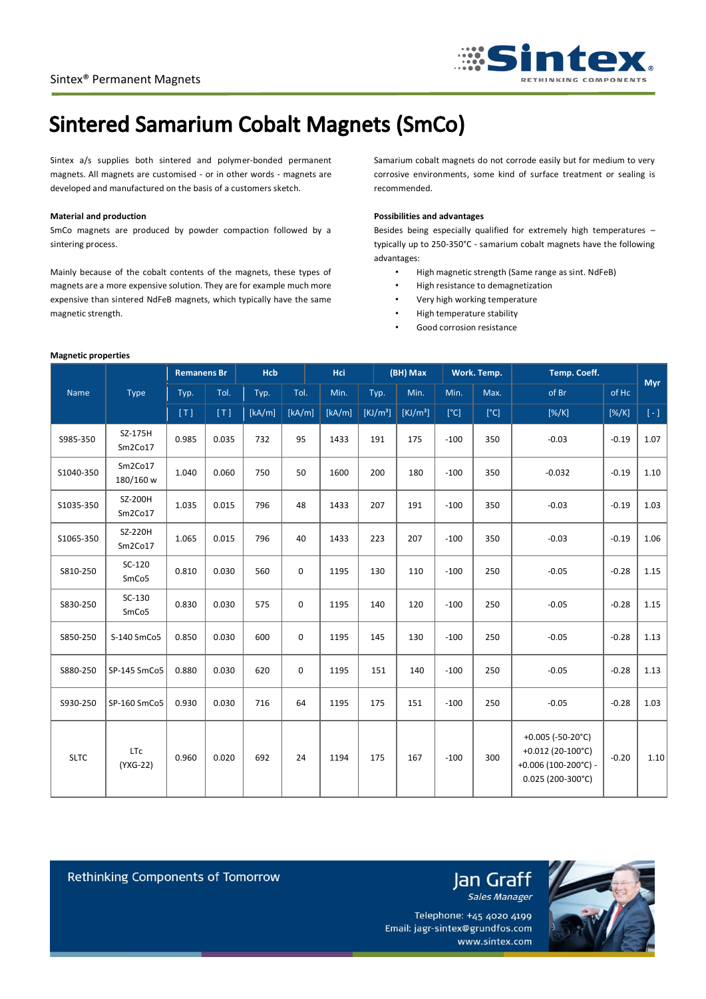

# **Sintered Samarium Cobalt Magnets (SmCo)**

Sintex a/s supplies both sintered and polymer-bonded permanent magnets. All magnets are customised - or in other words - magnets are developed and manufactured on the basis of a customers sketch.

### **Material and production**

**Magnetic properties**

SmCo magnets are produced by powder compaction followed by a sintering process.

Mainly because of the cobalt contents of the magnets, these types of magnets are a more expensive solution. They are for example much more expensive than sintered NdFeB magnets, which typically have the same magnetic strength.

Samarium cobalt magnets do not corrode easily but for medium to very corrosive environments, some kind of surface treatment or sealing is recommended.

## **Possibilities and advantages**

Besides being especially qualified for extremely high temperatures – typically up to 250-350°C - samarium cobalt magnets have the following advantages:

- High magnetic strength (Same range as sint. NdFeB)
- High resistance to demagnetization
- Very high working temperature
- High temperature stability
- Good corrosion resistance

|             | Type                        | <b>Remanens Br</b> |       | <b>Hcb</b> |        | <b>Hci</b> |                      | (BH) Max             |        | Work. Temp. | Temp. Coeff.                                                                                             |         | <b>Myr</b> |
|-------------|-----------------------------|--------------------|-------|------------|--------|------------|----------------------|----------------------|--------|-------------|----------------------------------------------------------------------------------------------------------|---------|------------|
| Name        |                             | Typ.               | Tol.  | Typ.       | Tol.   | Min.       | Typ.                 | Min.                 | Min.   | Max.        | of Br                                                                                                    | of Hc   |            |
|             |                             | [T]                | [T]   | [kA/m]     | [kA/m] | [kA/m]     | [KJ/m <sup>3</sup> ] | [KJ/m <sup>3</sup> ] | [°C]   | [°C]        | $[\%K]$                                                                                                  | $[\%K]$ | $[ - ]$    |
| S985-350    | SZ-175H<br>Sm2Co17          | 0.985              | 0.035 | 732        | 95     | 1433       | 191                  | 175                  | $-100$ | 350         | $-0.03$                                                                                                  | $-0.19$ | 1.07       |
| S1040-350   | Sm2Co17<br>180/160 w        | 1.040              | 0.060 | 750        | 50     | 1600       | 200                  | 180                  | $-100$ | 350         | $-0.032$                                                                                                 | $-0.19$ | 1.10       |
| S1035-350   | SZ-200H<br>Sm2Co17          | 1.035              | 0.015 | 796        | 48     | 1433       | 207                  | 191                  | $-100$ | 350         | $-0.03$                                                                                                  | $-0.19$ | 1.03       |
| S1065-350   | SZ-220H<br>Sm2Co17          | 1.065              | 0.015 | 796        | 40     | 1433       | 223                  | 207                  | $-100$ | 350         | $-0.03$                                                                                                  | $-0.19$ | 1.06       |
| S810-250    | SC-120<br>SmCo <sub>5</sub> | 0.810              | 0.030 | 560        | 0      | 1195       | 130                  | 110                  | $-100$ | 250         | $-0.05$                                                                                                  | $-0.28$ | 1.15       |
| S830-250    | SC-130<br>SmCo <sub>5</sub> | 0.830              | 0.030 | 575        | 0      | 1195       | 140                  | 120                  | $-100$ | 250         | $-0.05$                                                                                                  | $-0.28$ | 1.15       |
| S850-250    | S-140 SmCo5                 | 0.850              | 0.030 | 600        | 0      | 1195       | 145                  | 130                  | $-100$ | 250         | $-0.05$                                                                                                  | $-0.28$ | 1.13       |
| S880-250    | SP-145 SmCo5                | 0.880              | 0.030 | 620        | 0      | 1195       | 151                  | 140                  | $-100$ | 250         | $-0.05$                                                                                                  | $-0.28$ | 1.13       |
| S930-250    | SP-160 SmCo5                | 0.930              | 0.030 | 716        | 64     | 1195       | 175                  | 151                  | $-100$ | 250         | $-0.05$                                                                                                  | $-0.28$ | 1.03       |
| <b>SLTC</b> | <b>LTc</b><br>(YXG-22)      | 0.960              | 0.020 | 692        | 24     | 1194       | 175                  | 167                  | $-100$ | 300         | +0.005 (-50-20 $^{\circ}$ C)<br>+0.012 (20-100°C)<br>+ $0.006(100-200°C)$ -<br>$0.025(200-300^{\circ}C)$ | $-0.20$ | 1.10       |



Rethinking Components of Tomorrow